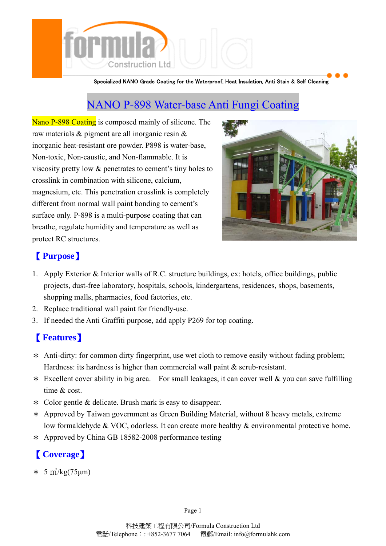

Specialized NANO Grade Coating for the Waterproof, Heat Insulation, Anti Stain & Self Cleaning

# NANO P-898 Water-base Anti Fungi Coating

Nano P-898 Coating is composed mainly of silicone. The raw materials & pigment are all inorganic resin & inorganic heat-resistant ore powder. P898 is water-base, Non-toxic, Non-caustic, and Non-flammable. It is viscosity pretty low & penetrates to cement's tiny holes to crosslink in combination with silicone, calcium, magnesium, etc. This penetration crosslink is completely different from normal wall paint bonding to cement's surface only. P-898 is a multi-purpose coating that can breathe, regulate humidity and temperature as well as protect RC structures.



### 【 **Purpose**】

- 1. Apply Exterior & Interior walls of R.C. structure buildings, ex: hotels, office buildings, public projects, dust-free laboratory, hospitals, schools, kindergartens, residences, shops, basements, shopping malls, pharmacies, food factories, etc.
- 2. Replace traditional wall paint for friendly-use.
- 3. If needed the Anti Graffiti purpose, add apply P269 for top coating.

## 【 **Features**】

- \* Anti-dirty: for common dirty fingerprint, use wet cloth to remove easily without fading problem; Hardness: its hardness is higher than commercial wall paint  $\&$  scrub-resistant.
- $*$  Excellent cover ability in big area. For small leakages, it can cover well  $&$  you can save fulfilling time & cost.
- \* Color gentle & delicate. Brush mark is easy to disappear.
- \* Approved by Taiwan government as Green Building Material, without 8 heavy metals, extreme low formaldehyde & VOC, odorless. It can create more healthy & environmental protective home.
- \* Approved by China GB 18582-2008 performance testing

# 【 **Coverage**】

 $* 5 m^2/kg(75 \mu m)$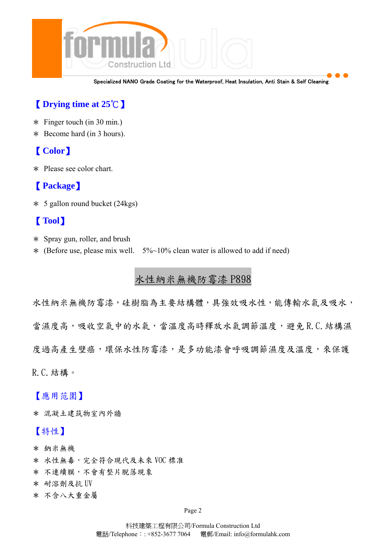

Specialized NANO Grade Coating for the Waterproof, Heat Insulation, Anti Stain & Self Cleaning

### 【 **Drying time at 25**℃】

- $*$  Finger touch (in 30 min.)
- \* Become hard (in 3 hours).

### 【 **Color**】

\* Please see color chart.

### 【 **Package**】

\* 5 gallon round bucket (24kgs)

#### 【 **Tool**】

- \* Spray gun, roller, and brush
- \* (Before use, please mix well.  $5\%~10\%$  clean water is allowed to add if need)

### 水性納米無機防霉漆 P898

水性納米無機防霉漆,硅樹脂為主要結構體,具強效吸水性,能傳輸水氣及吸水, 當濕度高,吸收空氣中的水氣,當溫度高時釋放水氣調節溫度,避免 R.C. 結構濕 度過高產生壁癌,環保水性防霉漆,是多功能漆會呼吸調節濕度及溫度,來保護 R.C.結構。

【應用范圍】

\* 混凝土建筑物室內外牆

#### 【特性】

- \* 鈉米無機
- \* 水性無毒,完全符合現代及未來 VOC 標准
- \* 不連續膜,不會有整片脫落現象
- \* 耐溶劑及抗 UV
- \* 不含八大重金屬

Page 2